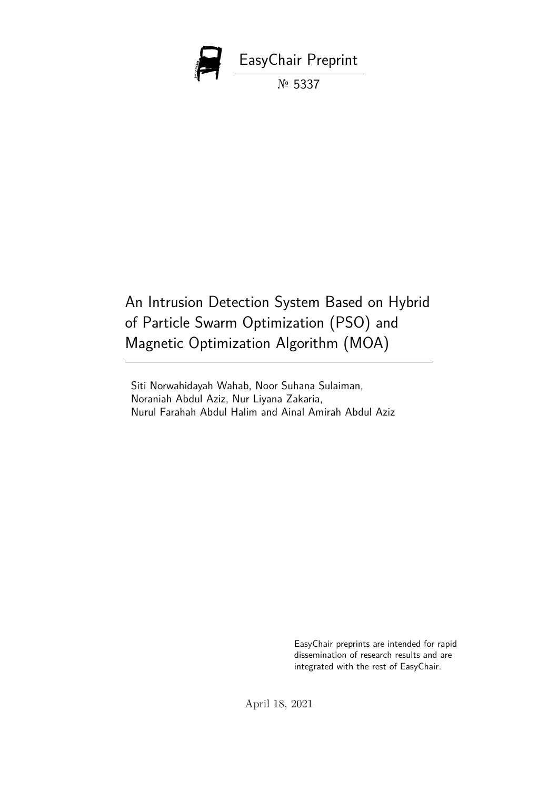

An Intrusion Detection System Based on Hybrid of Particle Swarm Optimization (PSO) and Magnetic Optimization Algorithm (MOA)

Siti Norwahidayah Wahab, Noor Suhana Sulaiman, Noraniah Abdul Aziz, Nur Liyana Zakaria, Nurul Farahah Abdul Halim and Ainal Amirah Abdul Aziz

> EasyChair preprints are intended for rapid dissemination of research results and are integrated with the rest of EasyChair.

April 18, 2021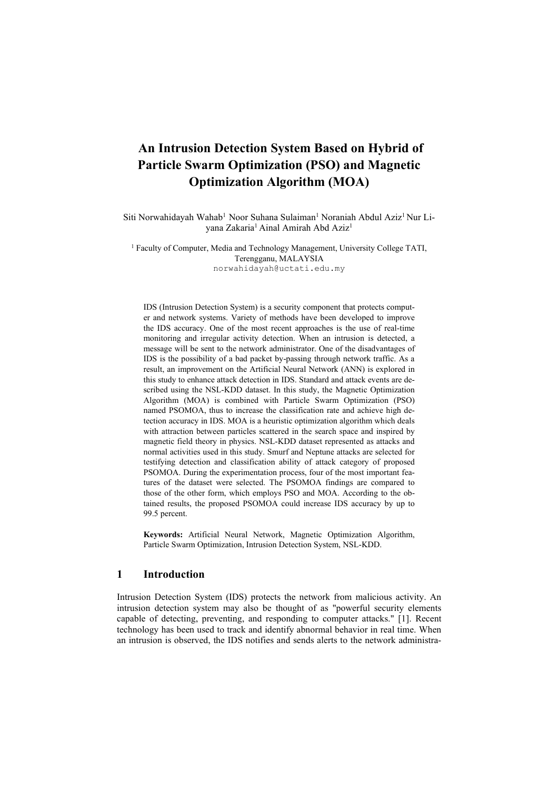# **An Intrusion Detection System Based on Hybrid of Particle Swarm Optimization (PSO) and Magnetic Optimization Algorithm (MOA)**

Siti Norwahidayah Wahab<sup>1</sup> Noor Suhana Sulaiman<sup>1</sup> Noraniah Abdul Aziz<sup>1</sup> Nur Liyana Zakaria<sup>1</sup> Ainal Amirah Abd Aziz<sup>1</sup>

<sup>1</sup> Faculty of Computer, Media and Technology Management, University College TATI, Terengganu, MALAYSIA norwahidayah@uctati.edu.my

IDS (Intrusion Detection System) is a security component that protects computer and network systems. Variety of methods have been developed to improve the IDS accuracy. One of the most recent approaches is the use of real-time monitoring and irregular activity detection. When an intrusion is detected, a message will be sent to the network administrator. One of the disadvantages of IDS is the possibility of a bad packet by-passing through network traffic. As a result, an improvement on the Artificial Neural Network (ANN) is explored in this study to enhance attack detection in IDS. Standard and attack events are described using the NSL-KDD dataset. In this study, the Magnetic Optimization Algorithm (MOA) is combined with Particle Swarm Optimization (PSO) named PSOMOA, thus to increase the classification rate and achieve high detection accuracy in IDS. MOA is a heuristic optimization algorithm which deals with attraction between particles scattered in the search space and inspired by magnetic field theory in physics. NSL-KDD dataset represented as attacks and normal activities used in this study. Smurf and Neptune attacks are selected for testifying detection and classification ability of attack category of proposed PSOMOA. During the experimentation process, four of the most important features of the dataset were selected. The PSOMOA findings are compared to those of the other form, which employs PSO and MOA. According to the obtained results, the proposed PSOMOA could increase IDS accuracy by up to 99.5 percent.

**Keywords:** Artificial Neural Network, Magnetic Optimization Algorithm, Particle Swarm Optimization, Intrusion Detection System, NSL-KDD.

# **1 Introduction**

Intrusion Detection System (IDS) protects the network from malicious activity. An intrusion detection system may also be thought of as "powerful security elements capable of detecting, preventing, and responding to computer attacks." [1]. Recent technology has been used to track and identify abnormal behavior in real time. When an intrusion is observed, the IDS notifies and sends alerts to the network administra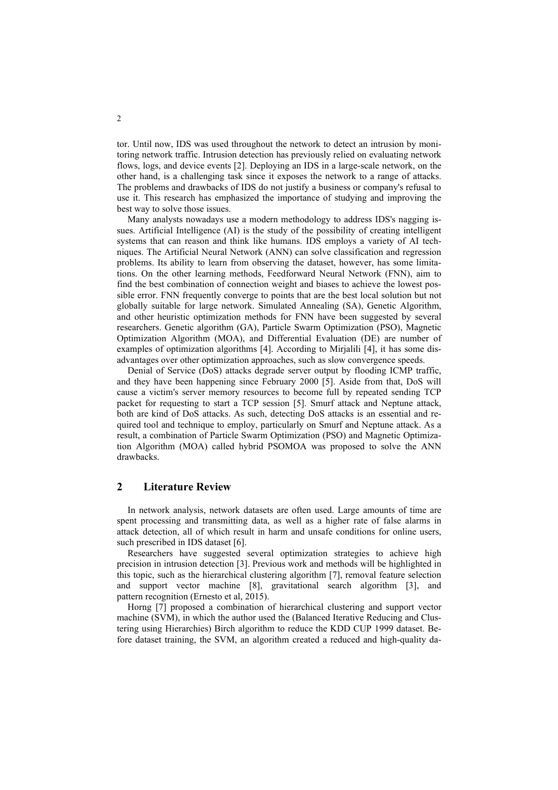tor. Until now, IDS was used throughout the network to detect an intrusion by monitoring network traffic. Intrusion detection has previously relied on evaluating network flows, logs, and device events [2]. Deploying an IDS in a large-scale network, on the other hand, is a challenging task since it exposes the network to a range of attacks. The problems and drawbacks of IDS do not justify a business or company's refusal to use it. This research has emphasized the importance of studying and improving the best way to solve those issues.

Many analysts nowadays use a modern methodology to address IDS's nagging issues. Artificial Intelligence (AI) is the study of the possibility of creating intelligent systems that can reason and think like humans. IDS employs a variety of AI techniques. The Artificial Neural Network (ANN) can solve classification and regression problems. Its ability to learn from observing the dataset, however, has some limitations. On the other learning methods, Feedforward Neural Network (FNN), aim to find the best combination of connection weight and biases to achieve the lowest possible error. FNN frequently converge to points that are the best local solution but not globally suitable for large network. Simulated Annealing (SA), Genetic Algorithm, and other heuristic optimization methods for FNN have been suggested by several researchers. Genetic algorithm (GA), Particle Swarm Optimization (PSO), Magnetic Optimization Algorithm (MOA), and Differential Evaluation (DE) are number of examples of optimization algorithms [4]. According to Mirjalili [4], it has some disadvantages over other optimization approaches, such as slow convergence speeds.

Denial of Service (DoS) attacks degrade server output by flooding ICMP traffic, and they have been happening since February 2000 [5]. Aside from that, DoS will cause a victim's server memory resources to become full by repeated sending TCP packet for requesting to start a TCP session [5]. Smurf attack and Neptune attack, both are kind of DoS attacks. As such, detecting DoS attacks is an essential and required tool and technique to employ, particularly on Smurf and Neptune attack. As a result, a combination of Particle Swarm Optimization (PSO) and Magnetic Optimization Algorithm (MOA) called hybrid PSOMOA was proposed to solve the ANN drawbacks.

### **2 Literature Review**

In network analysis, network datasets are often used. Large amounts of time are spent processing and transmitting data, as well as a higher rate of false alarms in attack detection, all of which result in harm and unsafe conditions for online users, such prescribed in IDS dataset [6].

Researchers have suggested several optimization strategies to achieve high precision in intrusion detection [3]. Previous work and methods will be highlighted in this topic, such as the hierarchical clustering algorithm [7], removal feature selection and support vector machine [8], gravitational search algorithm [3], and pattern recognition (Ernesto et al, 2015).

Horng [7] proposed a combination of hierarchical clustering and support vector machine (SVM), in which the author used the (Balanced Iterative Reducing and Clustering using Hierarchies) Birch algorithm to reduce the KDD CUP 1999 dataset. Before dataset training, the SVM, an algorithm created a reduced and high-quality da-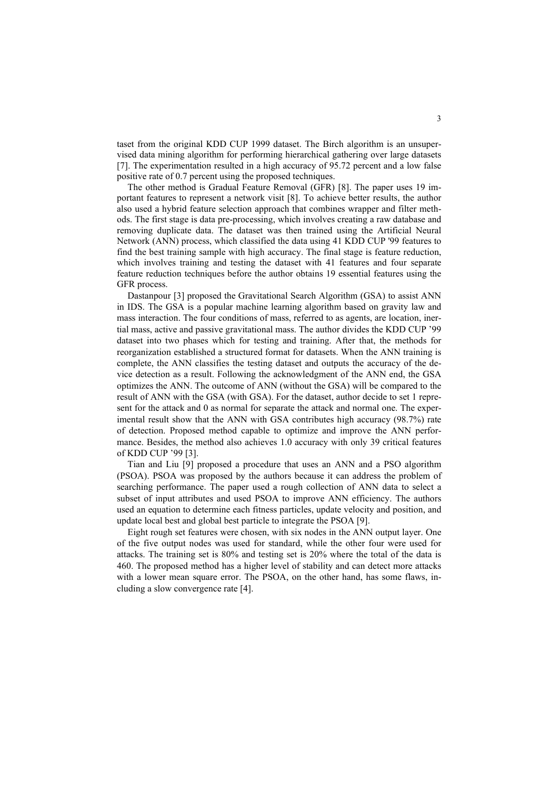taset from the original KDD CUP 1999 dataset. The Birch algorithm is an unsupervised data mining algorithm for performing hierarchical gathering over large datasets [7]. The experimentation resulted in a high accuracy of 95.72 percent and a low false positive rate of 0.7 percent using the proposed techniques.

The other method is Gradual Feature Removal (GFR) [8]. The paper uses 19 important features to represent a network visit [8]. To achieve better results, the author also used a hybrid feature selection approach that combines wrapper and filter methods. The first stage is data pre-processing, which involves creating a raw database and removing duplicate data. The dataset was then trained using the Artificial Neural Network (ANN) process, which classified the data using 41 KDD CUP '99 features to find the best training sample with high accuracy. The final stage is feature reduction, which involves training and testing the dataset with 41 features and four separate feature reduction techniques before the author obtains 19 essential features using the GFR process.

Dastanpour [3] proposed the Gravitational Search Algorithm (GSA) to assist ANN in IDS. The GSA is a popular machine learning algorithm based on gravity law and mass interaction. The four conditions of mass, referred to as agents, are location, inertial mass, active and passive gravitational mass. The author divides the KDD CUP '99 dataset into two phases which for testing and training. After that, the methods for reorganization established a structured format for datasets. When the ANN training is complete, the ANN classifies the testing dataset and outputs the accuracy of the device detection as a result. Following the acknowledgment of the ANN end, the GSA optimizes the ANN. The outcome of ANN (without the GSA) will be compared to the result of ANN with the GSA (with GSA). For the dataset, author decide to set 1 represent for the attack and 0 as normal for separate the attack and normal one. The experimental result show that the ANN with GSA contributes high accuracy (98.7%) rate of detection. Proposed method capable to optimize and improve the ANN performance. Besides, the method also achieves 1.0 accuracy with only 39 critical features of KDD CUP '99 [3].

Tian and Liu [9] proposed a procedure that uses an ANN and a PSO algorithm (PSOA). PSOA was proposed by the authors because it can address the problem of searching performance. The paper used a rough collection of ANN data to select a subset of input attributes and used PSOA to improve ANN efficiency. The authors used an equation to determine each fitness particles, update velocity and position, and update local best and global best particle to integrate the PSOA [9].

Eight rough set features were chosen, with six nodes in the ANN output layer. One of the five output nodes was used for standard, while the other four were used for attacks. The training set is 80% and testing set is 20% where the total of the data is 460. The proposed method has a higher level of stability and can detect more attacks with a lower mean square error. The PSOA, on the other hand, has some flaws, including a slow convergence rate [4].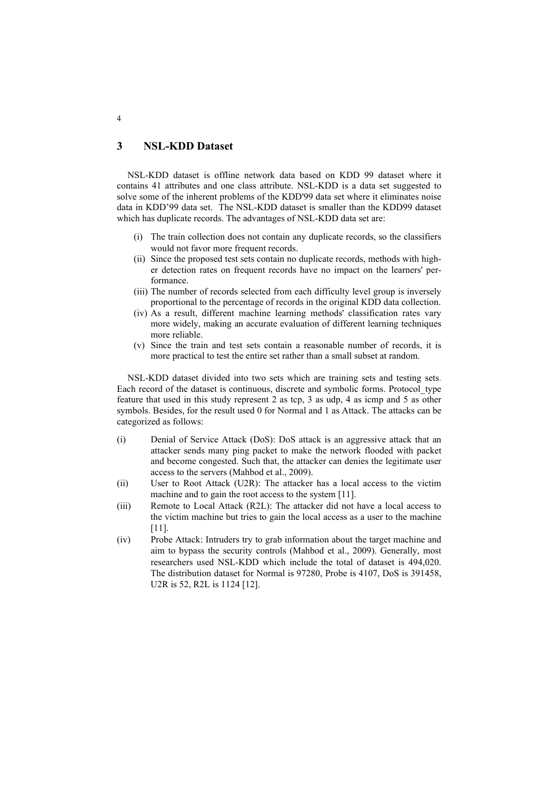# **3 NSL-KDD Dataset**

NSL-KDD dataset is offline network data based on KDD 99 dataset where it contains 41 attributes and one class attribute. NSL-KDD is a data set suggested to solve some of the inherent problems of the KDD'99 data set where it eliminates noise data in KDD'99 data set. The NSL-KDD dataset is smaller than the KDD99 dataset which has duplicate records. The advantages of NSL-KDD data set are:

- (i) The train collection does not contain any duplicate records, so the classifiers would not favor more frequent records.
- (ii) Since the proposed test sets contain no duplicate records, methods with higher detection rates on frequent records have no impact on the learners' performance.
- (iii) The number of records selected from each difficulty level group is inversely proportional to the percentage of records in the original KDD data collection.
- (iv) As a result, different machine learning methods' classification rates vary more widely, making an accurate evaluation of different learning techniques more reliable.
- (v) Since the train and test sets contain a reasonable number of records, it is more practical to test the entire set rather than a small subset at random.

NSL-KDD dataset divided into two sets which are training sets and testing sets. Each record of the dataset is continuous, discrete and symbolic forms. Protocol\_type feature that used in this study represent 2 as tcp, 3 as udp, 4 as icmp and 5 as other symbols. Besides, for the result used 0 for Normal and 1 as Attack. The attacks can be categorized as follows:

- (i) Denial of Service Attack (DoS): DoS attack is an aggressive attack that an attacker sends many ping packet to make the network flooded with packet and become congested. Such that, the attacker can denies the legitimate user access to the servers (Mahbod et al., 2009).
- (ii) User to Root Attack (U2R): The attacker has a local access to the victim machine and to gain the root access to the system [11].
- (iii) Remote to Local Attack (R2L): The attacker did not have a local access to the victim machine but tries to gain the local access as a user to the machine [11].
- (iv) Probe Attack: Intruders try to grab information about the target machine and aim to bypass the security controls (Mahbod et al., 2009). Generally, most researchers used NSL-KDD which include the total of dataset is 494,020. The distribution dataset for Normal is 97280, Probe is 4107, DoS is 391458, U2R is 52, R2L is 1124 [12].

4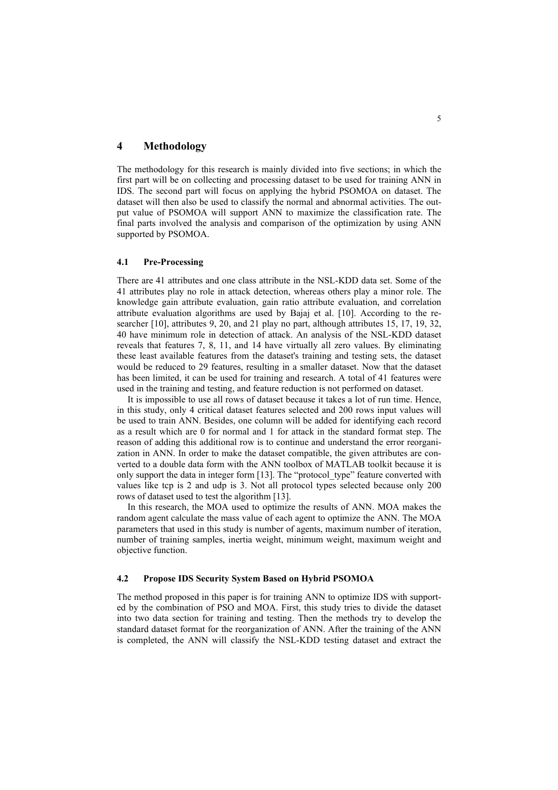# **4 Methodology**

The methodology for this research is mainly divided into five sections; in which the first part will be on collecting and processing dataset to be used for training ANN in IDS. The second part will focus on applying the hybrid PSOMOA on dataset. The dataset will then also be used to classify the normal and abnormal activities. The output value of PSOMOA will support ANN to maximize the classification rate. The final parts involved the analysis and comparison of the optimization by using ANN supported by PSOMOA.

### **4.1 Pre-Processing**

There are 41 attributes and one class attribute in the NSL-KDD data set. Some of the 41 attributes play no role in attack detection, whereas others play a minor role. The knowledge gain attribute evaluation, gain ratio attribute evaluation, and correlation attribute evaluation algorithms are used by Bajaj et al. [10]. According to the researcher [10], attributes 9, 20, and 21 play no part, although attributes 15, 17, 19, 32, 40 have minimum role in detection of attack. An analysis of the NSL-KDD dataset reveals that features 7, 8, 11, and 14 have virtually all zero values. By eliminating these least available features from the dataset's training and testing sets, the dataset would be reduced to 29 features, resulting in a smaller dataset. Now that the dataset has been limited, it can be used for training and research. A total of 41 features were used in the training and testing, and feature reduction is not performed on dataset.

It is impossible to use all rows of dataset because it takes a lot of run time. Hence, in this study, only 4 critical dataset features selected and 200 rows input values will be used to train ANN. Besides, one column will be added for identifying each record as a result which are 0 for normal and 1 for attack in the standard format step. The reason of adding this additional row is to continue and understand the error reorganization in ANN. In order to make the dataset compatible, the given attributes are converted to a double data form with the ANN toolbox of MATLAB toolkit because it is only support the data in integer form [13]. The "protocol type" feature converted with values like tcp is 2 and udp is 3. Not all protocol types selected because only 200 rows of dataset used to test the algorithm [13].

In this research, the MOA used to optimize the results of ANN. MOA makes the random agent calculate the mass value of each agent to optimize the ANN. The MOA parameters that used in this study is number of agents, maximum number of iteration, number of training samples, inertia weight, minimum weight, maximum weight and objective function.

#### **4.2 Propose IDS Security System Based on Hybrid PSOMOA**

The method proposed in this paper is for training ANN to optimize IDS with supported by the combination of PSO and MOA. First, this study tries to divide the dataset into two data section for training and testing. Then the methods try to develop the standard dataset format for the reorganization of ANN. After the training of the ANN is completed, the ANN will classify the NSL-KDD testing dataset and extract the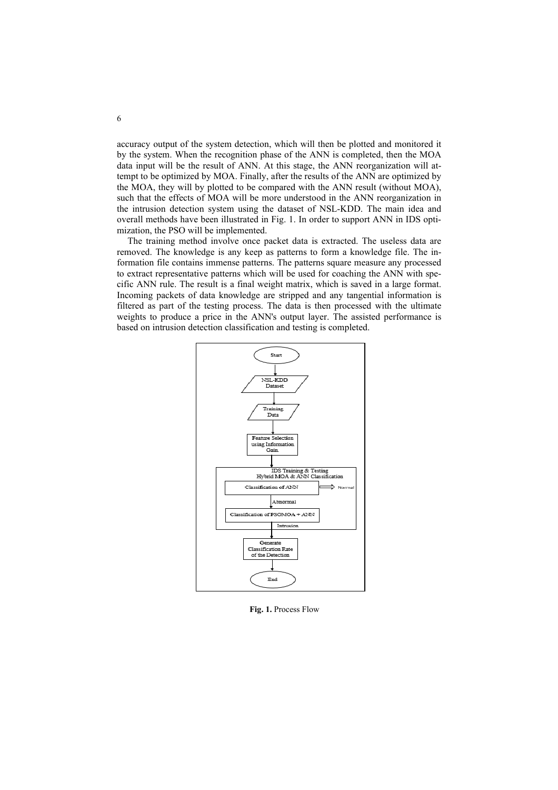accuracy output of the system detection, which will then be plotted and monitored it by the system. When the recognition phase of the ANN is completed, then the MOA data input will be the result of ANN. At this stage, the ANN reorganization will attempt to be optimized by MOA. Finally, after the results of the ANN are optimized by the MOA, they will by plotted to be compared with the ANN result (without MOA), such that the effects of MOA will be more understood in the ANN reorganization in the intrusion detection system using the dataset of NSL-KDD. The main idea and overall methods have been illustrated in Fig. 1. In order to support ANN in IDS optimization, the PSO will be implemented.

The training method involve once packet data is extracted. The useless data are removed. The knowledge is any keep as patterns to form a knowledge file. The information file contains immense patterns. The patterns square measure any processed to extract representative patterns which will be used for coaching the ANN with specific ANN rule. The result is a final weight matrix, which is saved in a large format. Incoming packets of data knowledge are stripped and any tangential information is filtered as part of the testing process. The data is then processed with the ultimate weights to produce a price in the ANN's output layer. The assisted performance is based on intrusion detection classification and testing is completed.



**Fig. 1.** Process Flow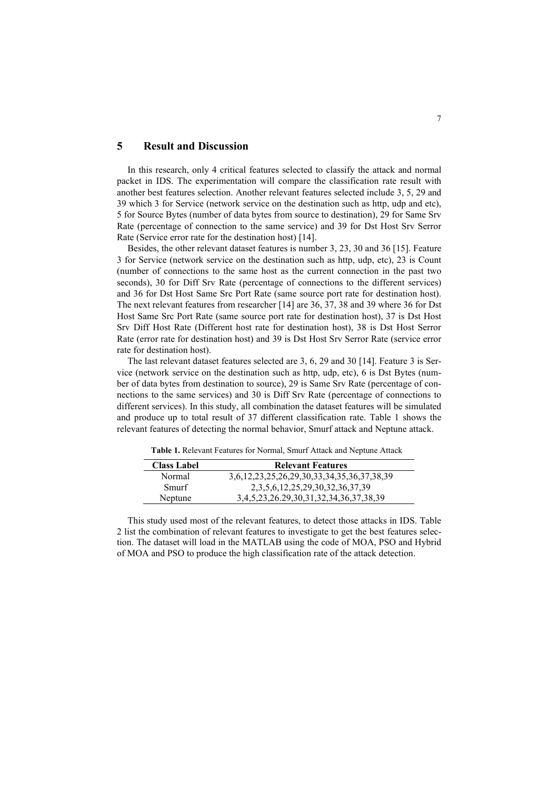# **5 Result and Discussion**

In this research, only 4 critical features selected to classify the attack and normal packet in IDS. The experimentation will compare the classification rate result with another best features selection. Another relevant features selected include 3, 5, 29 and 39 which 3 for Service (network service on the destination such as http, udp and etc), 5 for Source Bytes (number of data bytes from source to destination), 29 for Same Srv Rate (percentage of connection to the same service) and 39 for Dst Host Srv Serror Rate (Service error rate for the destination host) [14].

Besides, the other relevant dataset features is number 3, 23, 30 and 36 [15]. Feature 3 for Service (network service on the destination such as http, udp, etc), 23 is Count (number of connections to the same host as the current connection in the past two seconds), 30 for Diff Srv Rate (percentage of connections to the different services) and 36 for Dst Host Same Src Port Rate (same source port rate for destination host). The next relevant features from researcher [14] are 36, 37, 38 and 39 where 36 for Dst Host Same Src Port Rate (same source port rate for destination host), 37 is Dst Host Srv Diff Host Rate (Different host rate for destination host), 38 is Dst Host Serror Rate (error rate for destination host) and 39 is Dst Host Srv Serror Rate (service error rate for destination host).

The last relevant dataset features selected are 3, 6, 29 and 30 [14]. Feature 3 is Service (network service on the destination such as http, udp, etc), 6 is Dst Bytes (number of data bytes from destination to source), 29 is Same Srv Rate (percentage of connections to the same services) and 30 is Diff Srv Rate (percentage of connections to different services). In this study, all combination the dataset features will be simulated and produce up to total result of 37 different classification rate. Table 1 shows the relevant features of detecting the normal behavior, Smurf attack and Neptune attack.

| <b>Class Label</b> | <b>Relevant Features</b>                   |  |
|--------------------|--------------------------------------------|--|
| Normal             | 3,6,12,23,25,26,29,30,33,34,35,36,37,38,39 |  |
| Smurf              | 2, 3, 5, 6, 12, 25, 29, 30, 32, 36, 37, 39 |  |
| Neptune            | 3,4,5,23,26.29,30,31,32,34,36,37,38,39     |  |

**Table 1.** Relevant Features for Normal, Smurf Attack and Neptune Attack

This study used most of the relevant features, to detect those attacks in IDS. Table 2 list the combination of relevant features to investigate to get the best features selection. The dataset will load in the MATLAB using the code of MOA, PSO and Hybrid of MOA and PSO to produce the high classification rate of the attack detection.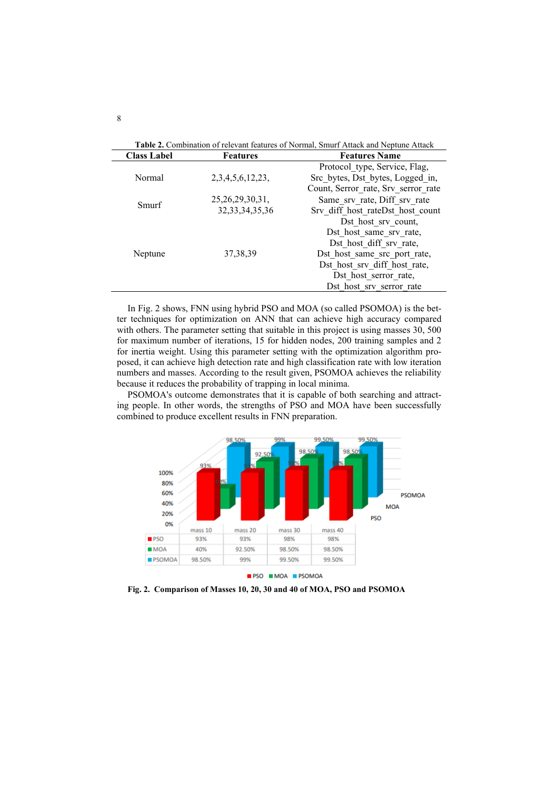| Table 2. Combination of relevant features of Normal, Smurf Attack and Neptune Attack |                        |                                     |  |
|--------------------------------------------------------------------------------------|------------------------|-------------------------------------|--|
| <b>Class Label</b>                                                                   | <b>Features</b>        | <b>Features Name</b>                |  |
| Normal                                                                               | 2, 3, 4, 5, 6, 12, 23, | Protocol type, Service, Flag,       |  |
|                                                                                      |                        | Src bytes, Dst bytes, Logged in,    |  |
|                                                                                      |                        | Count, Serror rate, Srv serror rate |  |
| Smurf                                                                                | 25, 26, 29, 30, 31,    | Same srv rate, Diff srv rate        |  |
|                                                                                      | 32, 33, 34, 35, 36     | Srv diff host rateDst host count    |  |
| Neptune                                                                              | 37, 38, 39             | Dst host srv count,                 |  |
|                                                                                      |                        | Dst host same srv rate,             |  |
|                                                                                      |                        | Dst host diff srv rate,             |  |
|                                                                                      |                        | Dst host same src port rate,        |  |
|                                                                                      |                        | Dst host srv diff host rate,        |  |
|                                                                                      |                        | Dst host serror rate,               |  |
|                                                                                      |                        | Dst host srv serror rate            |  |

In Fig. 2 shows, FNN using hybrid PSO and MOA (so called PSOMOA) is the better techniques for optimization on ANN that can achieve high accuracy compared with others. The parameter setting that suitable in this project is using masses 30, 500 for maximum number of iterations, 15 for hidden nodes, 200 training samples and 2 for inertia weight. Using this parameter setting with the optimization algorithm proposed, it can achieve high detection rate and high classification rate with low iteration numbers and masses. According to the result given, PSOMOA achieves the reliability because it reduces the probability of trapping in local minima.

PSOMOA's outcome demonstrates that it is capable of both searching and attracting people. In other words, the strengths of PSO and MOA have been successfully combined to produce excellent results in FNN preparation.



**Fig. 2. Comparison of Masses 10, 20, 30 and 40 of MOA, PSO and PSOMOA**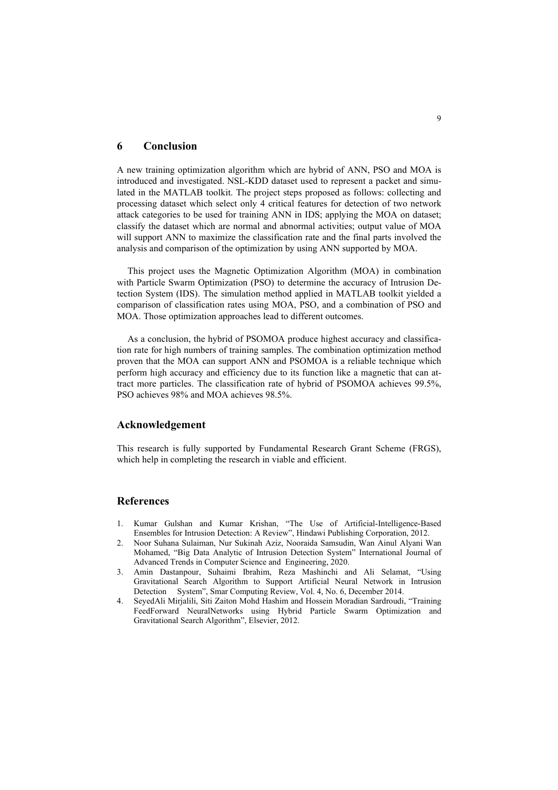### **6 Conclusion**

A new training optimization algorithm which are hybrid of ANN, PSO and MOA is introduced and investigated. NSL-KDD dataset used to represent a packet and simulated in the MATLAB toolkit. The project steps proposed as follows: collecting and processing dataset which select only 4 critical features for detection of two network attack categories to be used for training ANN in IDS; applying the MOA on dataset; classify the dataset which are normal and abnormal activities; output value of MOA will support ANN to maximize the classification rate and the final parts involved the analysis and comparison of the optimization by using ANN supported by MOA.

This project uses the Magnetic Optimization Algorithm (MOA) in combination with Particle Swarm Optimization (PSO) to determine the accuracy of Intrusion Detection System (IDS). The simulation method applied in MATLAB toolkit yielded a comparison of classification rates using MOA, PSO, and a combination of PSO and MOA. Those optimization approaches lead to different outcomes.

As a conclusion, the hybrid of PSOMOA produce highest accuracy and classification rate for high numbers of training samples. The combination optimization method proven that the MOA can support ANN and PSOMOA is a reliable technique which perform high accuracy and efficiency due to its function like a magnetic that can attract more particles. The classification rate of hybrid of PSOMOA achieves 99.5%, PSO achieves 98% and MOA achieves 98.5%.

# **Acknowledgement**

This research is fully supported by Fundamental Research Grant Scheme (FRGS), which help in completing the research in viable and efficient.

### **References**

- 1. Kumar Gulshan and Kumar Krishan, "The Use of Artificial-Intelligence-Based Ensembles for Intrusion Detection: A Review", Hindawi Publishing Corporation, 2012.
- 2. Noor Suhana Sulaiman, Nur Sukinah Aziz, Nooraida Samsudin, Wan Ainul Alyani Wan Mohamed, "Big Data Analytic of Intrusion Detection System" International Journal of Advanced Trends in Computer Science and Engineering, 2020.
- 3. Amin Dastanpour, Suhaimi Ibrahim, Reza Mashinchi and Ali Selamat, "Using Gravitational Search Algorithm to Support Artificial Neural Network in Intrusion Detection System", Smar Computing Review, Vol. 4, No. 6, December 2014.
- 4. SeyedAli Mirjalili, Siti Zaiton Mohd Hashim and Hossein Moradian Sardroudi, "Training FeedForward NeuralNetworks using Hybrid Particle Swarm Optimization and Gravitational Search Algorithm", Elsevier, 2012.